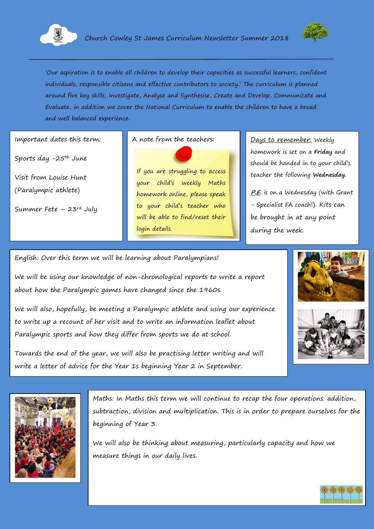



'Our aspiration is to enable all children to develop their capacities as successful learners, confident individuals, responsible citizens and effective contributors to society.' The curriculum is planned around five key skills; Investigate, Analyse and Synthesise, Create and Develop, Communicate and Evaluate, in addition we cover the National Curriculum to enable the children to have a broad and well balanced experience.

Important dates this term:

Sports day -25th June

Visit from Louise Hunt (Paralympic athlete)

Summer Fete  $-23$ <sup>rd</sup> July

A note from the teachers: <u>Days to remember:</u> Weekly

If you are struggling to access your child's weekly Maths homework online, please speak to your child's teacher who will be able to find/reset their login details.

homework is set on a **Friday** and should be handed in to your child's teacher the following **Wednesday.**

**P.E.** is on a Wednesday (with Grant - Specialist FA coach!). Kits can be brought in at any point during the week.

English: Over this term we will be learning about Paralympians!

We will be using our knowledge of non-chronological reports to write a report about how the Paralympic games have changed since the 1960s.

We will also, hopefully, be meeting a Paralympic athlete and using our experience to write up a recount of her visit and to write an information leaflet about Paralympic sports and how they differ from sports we do at school.









Maths: In Maths this term we will continue to recap the four operations: addition, subtraction, division and multiplication. This is in order to prepare ourselves for the beginning of Year 3.

We will also be thinking about measuring, particularly capacity and how we measure things in our daily lives.